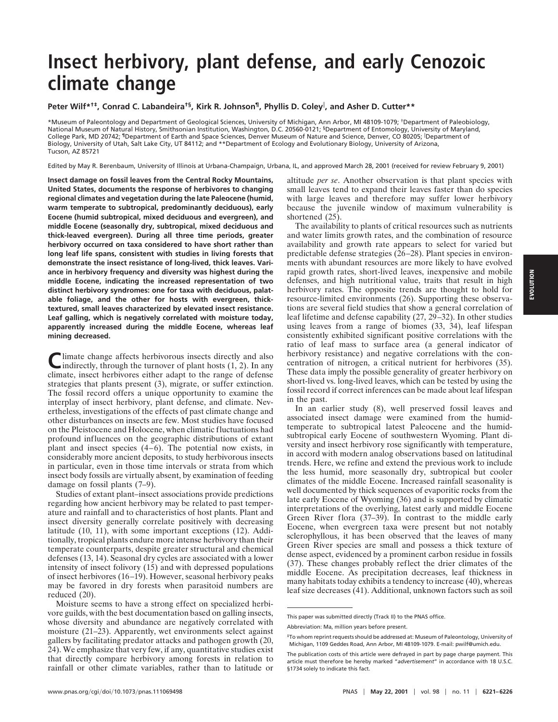# **Insect herbivory, plant defense, and early Cenozoic climate change**

## **Peter Wilf\*†‡, Conrad C. Labandeira†§, Kirk R. Johnson¶, Phyllis D. Coley**<sup>i</sup> **, and Asher D. Cutter\*\***

\*Museum of Paleontology and Department of Geological Sciences, University of Michigan, Ann Arbor, MI 48109-1079; †Department of Paleobiology, National Museum of Natural History, Smithsonian Institution, Washington, D.C. 20560-0121; §Department of Entomology, University of Maryland, College Park, MD 20742; <sup>¶</sup>Department of Earth and Space Sciences, Denver Museum of Nature and Science, Denver, CO 80205; <sup>|</sup>Department of Biology, University of Utah, Salt Lake City, UT 84112; and \*\*Department of Ecology and Evolutionary Biology, University of Arizona, Tucson, AZ 85721

Edited by May R. Berenbaum, University of Illinois at Urbana-Champaign, Urbana, IL, and approved March 28, 2001 (received for review February 9, 2001)

**Insect damage on fossil leaves from the Central Rocky Mountains, United States, documents the response of herbivores to changing regional climates and vegetation during the late Paleocene (humid, warm temperate to subtropical, predominantly deciduous), early Eocene (humid subtropical, mixed deciduous and evergreen), and middle Eocene (seasonally dry, subtropical, mixed deciduous and thick-leaved evergreen). During all three time periods, greater herbivory occurred on taxa considered to have short rather than long leaf life spans, consistent with studies in living forests that demonstrate the insect resistance of long-lived, thick leaves. Variance in herbivory frequency and diversity was highest during the middle Eocene, indicating the increased representation of two distinct herbivory syndromes: one for taxa with deciduous, palatable foliage, and the other for hosts with evergreen, thicktextured, small leaves characterized by elevated insect resistance. Leaf galling, which is negatively correlated with moisture today, apparently increased during the middle Eocene, whereas leaf mining decreased.**

Climate change affects herbivorous insects directly and also indirectly, through the turnover of plant hosts (1, 2). In any climate, insect herbivores either adapt to the range of defense strategies that plants present (3), migrate, or suffer extinction. The fossil record offers a unique opportunity to examine the interplay of insect herbivory, plant defense, and climate. Nevertheless, investigations of the effects of past climate change and other disturbances on insects are few. Most studies have focused on the Pleistocene and Holocene, when climatic fluctuations had profound influences on the geographic distributions of extant plant and insect species (4–6). The potential now exists, in considerably more ancient deposits, to study herbivorous insects in particular, even in those time intervals or strata from which insect body fossils are virtually absent, by examination of feeding damage on fossil plants (7–9).

Studies of extant plant–insect associations provide predictions regarding how ancient herbivory may be related to past temperature and rainfall and to characteristics of host plants. Plant and insect diversity generally correlate positively with decreasing latitude (10, 11), with some important exceptions (12). Additionally, tropical plants endure more intense herbivory than their temperate counterparts, despite greater structural and chemical defenses (13, 14). Seasonal dry cycles are associated with a lower intensity of insect folivory (15) and with depressed populations of insect herbivores (16–19). However, seasonal herbivory peaks may be favored in dry forests when parasitoid numbers are reduced (20).

Moisture seems to have a strong effect on specialized herbivore guilds, with the best documentation based on galling insects, whose diversity and abundance are negatively correlated with moisture (21–23). Apparently, wet environments select against gallers by facilitating predator attacks and pathogen growth (20, 24). We emphasize that very few, if any, quantitative studies exist that directly compare herbivory among forests in relation to rainfall or other climate variables, rather than to latitude or altitude *per se*. Another observation is that plant species with small leaves tend to expand their leaves faster than do species with large leaves and therefore may suffer lower herbivory because the juvenile window of maximum vulnerability is shortened (25).

The availability to plants of critical resources such as nutrients and water limits growth rates, and the combination of resource availability and growth rate appears to select for varied but predictable defense strategies (26–28). Plant species in environments with abundant resources are more likely to have evolved rapid growth rates, short-lived leaves, inexpensive and mobile defenses, and high nutritional value, traits that result in high herbivory rates. The opposite trends are thought to hold for resource-limited environments (26). Supporting these observations are several field studies that show a general correlation of leaf lifetime and defense capability (27, 29–32). In other studies using leaves from a range of biomes (33, 34), leaf lifespan consistently exhibited significant positive correlations with the ratio of leaf mass to surface area (a general indicator of herbivory resistance) and negative correlations with the concentration of nitrogen, a critical nutrient for herbivores (35). These data imply the possible generality of greater herbivory on short-lived vs. long-lived leaves, which can be tested by using the fossil record if correct inferences can be made about leaf lifespan in the past.

In an earlier study (8), well preserved fossil leaves and associated insect damage were examined from the humidtemperate to subtropical latest Paleocene and the humidsubtropical early Eocene of southwestern Wyoming. Plant diversity and insect herbivory rose significantly with temperature, in accord with modern analog observations based on latitudinal trends. Here, we refine and extend the previous work to include the less humid, more seasonally dry, subtropical but cooler climates of the middle Eocene. Increased rainfall seasonality is well documented by thick sequences of evaporitic rocks from the late early Eocene of Wyoming (36) and is supported by climatic interpretations of the overlying, latest early and middle Eocene Green River flora (37–39). In contrast to the middle early Eocene, when evergreen taxa were present but not notably sclerophyllous, it has been observed that the leaves of many Green River species are small and possess a thick texture of dense aspect, evidenced by a prominent carbon residue in fossils (37). These changes probably reflect the drier climates of the middle Eocene. As precipitation decreases, leaf thickness in many habitats today exhibits a tendency to increase (40), whereas leaf size decreases (41). Additional, unknown factors such as soil

This paper was submitted directly (Track II) to the PNAS office.

Abbreviation: Ma, million years before present.

<sup>‡</sup>To whom reprint requests should be addressed at: Museum of Paleontology, University of Michigan, 1109 Geddes Road, Ann Arbor, MI 48109-1079. E-mail: pwilf@umich.edu.

The publication costs of this article were defrayed in part by page charge payment. This article must therefore be hereby marked "*advertisement*" in accordance with 18 U.S.C. §1734 solely to indicate this fact.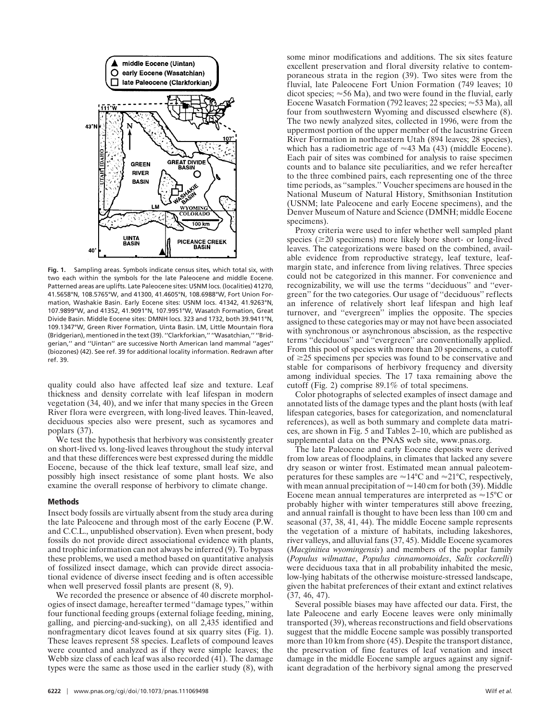

**Fig. 1.** Sampling areas. Symbols indicate census sites, which total six, with two each within the symbols for the late Paleocene and middle Eocene. Patterned areas are uplifts. Late Paleocene sites: USNM locs. (localities) 41270, 41.5658°N, 108.5765°W, and 41300, 41.4605°N, 108.6988°W, Fort Union Formation, Washakie Basin. Early Eocene sites: USNM locs. 41342, 41.9263°N, 107.9899°W, and 41352, 41.9091°N, 107.9951°W, Wasatch Formation, Great Divide Basin. Middle Eocene sites: DMNH locs. 323 and 1732, both 39.9411°N, 109.1347°W, Green River Formation, Uinta Basin. LM, Little Mountain flora (Bridgerian), mentioned in the text (39). ''Clarkforkian,'' ''Wasatchian,'' ''Bridgerian,'' and ''Uintan'' are successive North American land mammal ''ages'' (biozones) (42). See ref. 39 for additional locality information. Redrawn after ref. 39.

quality could also have affected leaf size and texture. Leaf thickness and density correlate with leaf lifespan in modern vegetation (34, 40), and we infer that many species in the Green River flora were evergreen, with long-lived leaves. Thin-leaved, deciduous species also were present, such as sycamores and poplars (37).

We test the hypothesis that herbivory was consistently greater on short-lived vs. long-lived leaves throughout the study interval and that these differences were best expressed during the middle Eocene, because of the thick leaf texture, small leaf size, and possibly high insect resistance of some plant hosts. We also examine the overall response of herbivory to climate change.

#### **Methods**

Insect body fossils are virtually absent from the study area during the late Paleocene and through most of the early Eocene (P.W. and C.C.L., unpublished observation). Even when present, body fossils do not provide direct associational evidence with plants, and trophic information can not always be inferred (9). To bypass these problems, we used a method based on quantitative analysis of fossilized insect damage, which can provide direct associational evidence of diverse insect feeding and is often accessible when well preserved fossil plants are present (8, 9).

We recorded the presence or absence of 40 discrete morphologies of insect damage, hereafter termed ''damage types,'' within four functional feeding groups (external foliage feeding, mining, galling, and piercing-and-sucking), on all 2,435 identified and nonfragmentary dicot leaves found at six quarry sites (Fig. 1). These leaves represent 58 species. Leaflets of compound leaves were counted and analyzed as if they were simple leaves; the Webb size class of each leaf was also recorded (41). The damage types were the same as those used in the earlier study (8), with some minor modifications and additions. The six sites feature excellent preservation and floral diversity relative to contemporaneous strata in the region (39). Two sites were from the fluvial, late Paleocene Fort Union Formation (749 leaves; 10 dicot species;  $\approx 56$  Ma), and two were found in the fluvial, early Eocene Wasatch Formation (792 leaves;  $22$  species;  $\approx$  53 Ma), all four from southwestern Wyoming and discussed elsewhere (8). The two newly analyzed sites, collected in 1996, were from the uppermost portion of the upper member of the lacustrine Green River Formation in northeastern Utah (894 leaves; 28 species), which has a radiometric age of  $\approx$  43 Ma (43) (middle Eocene). Each pair of sites was combined for analysis to raise specimen counts and to balance site peculiarities, and we refer hereafter to the three combined pairs, each representing one of the three time periods, as ''samples.'' Voucher specimens are housed in the National Museum of Natural History, Smithsonian Institution (USNM; late Paleocene and early Eocene specimens), and the Denver Museum of Nature and Science (DMNH; middle Eocene specimens).

Proxy criteria were used to infer whether well sampled plant species ( $\geq$ 20 specimens) more likely bore short- or long-lived leaves. The categorizations were based on the combined, available evidence from reproductive strategy, leaf texture, leafmargin state, and inference from living relatives. Three species could not be categorized in this manner. For convenience and recognizability, we will use the terms ''deciduous'' and ''evergreen'' for the two categories. Our usage of ''deciduous'' reflects an inference of relatively short leaf lifespan and high leaf turnover, and ''evergreen'' implies the opposite. The species assigned to these categories may or may not have been associated with synchronous or asynchronous abscission, as the respective terms ''deciduous'' and ''evergreen'' are conventionally applied. From this pool of species with more than 20 specimens, a cutoff of  $\geq$ 25 specimens per species was found to be conservative and stable for comparisons of herbivory frequency and diversity among individual species. The 17 taxa remaining above the cutoff (Fig. 2) comprise 89.1% of total specimens.

Color photographs of selected examples of insect damage and annotated lists of the damage types and the plant hosts (with leaf lifespan categories, bases for categorization, and nomenclatural references), as well as both summary and complete data matrices, are shown in Fig. 5 and Tables 2–10, which are published as supplemental data on the PNAS web site, www.pnas.org.

The late Paleocene and early Eocene deposits were derived from low areas of floodplains, in climates that lacked any severe dry season or winter frost. Estimated mean annual paleotemperatures for these samples are  $\approx 14^{\circ}$ C and  $\approx 21^{\circ}$ C, respectively, with mean annual precipitation of  $\approx$  140 cm for both (39). Middle Eocene mean annual temperatures are interpreted as  $\approx 15^{\circ}$ C or probably higher with winter temperatures still above freezing, and annual rainfall is thought to have been less than 100 cm and seasonal (37, 38, 41, 44). The middle Eocene sample represents the vegetation of a mixture of habitats, including lakeshores, river valleys, and alluvial fans (37, 45). Middle Eocene sycamores (*Macginitiea wyomingensis*) and members of the poplar family (*Populus wilmattae*, *Populus cinnamomoides*, *Salix cockerelli*) were deciduous taxa that in all probability inhabited the mesic, low-lying habitats of the otherwise moisture-stressed landscape, given the habitat preferences of their extant and extinct relatives (37, 46, 47).

Several possible biases may have affected our data. First, the late Paleocene and early Eocene leaves were only minimally transported (39), whereas reconstructions and field observations suggest that the middle Eocene sample was possibly transported more than 10 km from shore (45). Despite the transport distance, the preservation of fine features of leaf venation and insect damage in the middle Eocene sample argues against any significant degradation of the herbivory signal among the preserved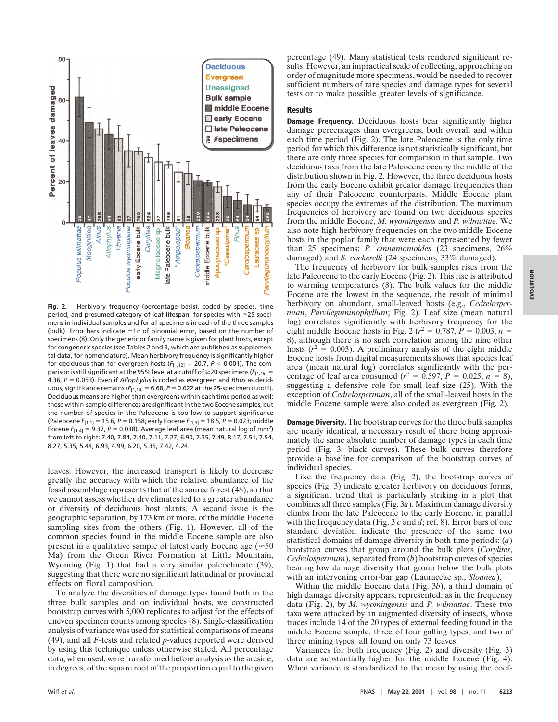

**Fig. 2.** Herbivory frequency (percentage basis), coded by species, time period, and presumed category of leaf lifespan, for species with  $\geq$ 25 specimens in individual samples and for all specimens in each of the three samples (bulk). Error bars indicate  $\pm 1\sigma$  of binomial error, based on the number of specimens (8). Only the generic or family name is given for plant hosts, except for congeneric species (see Tables 2 and 3, which are published as supplemental data, for nomenclature). Mean herbivory frequency is significantly higher for deciduous than for evergreen hosts  $(F_{[1,12]} = 20.7, P < 0.001)$ . The comparison is still significant at the 95% level at a cutoff of  $\geq$ 20 specimens ( $F_{[1,16]}$  = 4.36,  $P = 0.053$ ). Even if *Allophylus* is coded as evergreen and *Rhus* as deciduous, significance remains ( $F_{[1,14]} = 6.68$ ,  $P = 0.022$  at the 25-specimen cutoff). Deciduous means are higher than evergreens within each time period as well; these within-sample differences are significant in the two Eocene samples, but the number of species in the Paleocene is too low to support significance (Paleocene  $F_{[1,1]} = 15.6$ ,  $P = 0.158$ ; early Eocene  $F_{[1,3]} = 18.5$ ,  $P = 0.023$ ; middle Eocene  $F_{[1,4]} = 9.37$ ,  $P = 0.038$ ). Average leaf area (mean natural log of mm<sup>2</sup>) from left to right: 7.40, 7.84, 7.40, 7.11, 7.27, 6.90, 7.35, 7.49, 8.17, 7.51, 7.54, 8.27, 5.35, 5.44, 6.93, 4.99, 6.20, 5.35, 7.42, 4.24.

leaves. However, the increased transport is likely to decrease greatly the accuracy with which the relative abundance of the fossil assemblage represents that of the source forest (48), so that we cannot assess whether dry climates led to a greater abundance or diversity of deciduous host plants. A second issue is the geographic separation, by 173 km or more, of the middle Eocene sampling sites from the others (Fig. 1). However, all of the common species found in the middle Eocene sample are also present in a qualitative sample of latest early Eocene age  $(\approx 50$ Ma) from the Green River Formation at Little Mountain, Wyoming (Fig. 1) that had a very similar paleoclimate (39), suggesting that there were no significant latitudinal or provincial effects on floral composition.

To analyze the diversities of damage types found both in the three bulk samples and on individual hosts, we constructed bootstrap curves with 5,000 replicates to adjust for the effects of uneven specimen counts among species (8). Single-classification analysis of variance was used for statistical comparisons of means (49), and all *F*-tests and related *p*-values reported were derived by using this technique unless otherwise stated. All percentage data, when used, were transformed before analysis as the arcsine, in degrees, of the square root of the proportion equal to the given

percentage (49). Many statistical tests rendered significant results. However, an impractical scale of collecting, approaching an order of magnitude more specimens, would be needed to recover sufficient numbers of rare species and damage types for several tests or to make possible greater levels of significance.

#### **Results**

**Damage Frequency.** Deciduous hosts bear significantly higher damage percentages than evergreens, both overall and within each time period (Fig. 2). The late Paleocene is the only time period for which this difference is not statistically significant, but there are only three species for comparison in that sample. Two deciduous taxa from the late Paleocene occupy the middle of the distribution shown in Fig. 2. However, the three deciduous hosts from the early Eocene exhibit greater damage frequencies than any of their Paleocene counterparts. Middle Eocene plant species occupy the extremes of the distribution. The maximum frequencies of herbivory are found on two deciduous species from the middle Eocene, *M. wyomingensis* and *P. wilmattae*. We also note high herbivory frequencies on the two middle Eocene hosts in the poplar family that were each represented by fewer than 25 specimens: *P. cinnamomoides* (23 specimens, 26% damaged) and *S. cockerelli* (24 specimens, 33% damaged).

The frequency of herbivory for bulk samples rises from the late Paleocene to the early Eocene (Fig. 2). This rise is attributed to warming temperatures (8). The bulk values for the middle Eocene are the lowest in the sequence, the result of minimal herbivory on abundant, small-leaved hosts (e.g., *Cedrelospermum*, *Parvileguminophyllum*; Fig. 2). Leaf size (mean natural log) correlates significantly with herbivory frequency for the eight middle Eocene hosts in Fig. 2 ( $r^2 = 0.787$ ,  $P = 0.003$ ,  $n =$ 8), although there is no such correlation among the nine other hosts ( $r^2 = 0.003$ ). A preliminary analysis of the eight middle Eocene hosts from digital measurements shows that species leaf area (mean natural log) correlates significantly with the percentage of leaf area consumed ( $r^2 = 0.597$ ,  $P = 0.025$ ,  $n = 8$ ), suggesting a defensive role for small leaf size (25). With the exception of *Cedrelospermum*, all of the small-leaved hosts in the middle Eocene sample were also coded as evergreen (Fig. 2).

**Damage Diversity.** The bootstrap curves for the three bulk samples are nearly identical, a necessary result of there being approximately the same absolute number of damage types in each time period (Fig. 3, black curves). These bulk curves therefore provide a baseline for comparison of the bootstrap curves of individual species.

Like the frequency data (Fig. 2), the bootstrap curves of species (Fig. 3) indicate greater herbivory on deciduous forms, a significant trend that is particularly striking in a plot that combines all three samples (Fig. 3*a*). Maximum damage diversity climbs from the late Paleocene to the early Eocene, in parallel with the frequency data (Fig. 3 *c* and *d*; ref. 8). Error bars of one standard deviation indicate the presence of the same two statistical domains of damage diversity in both time periods: (*a*) bootstrap curves that group around the bulk plots (*Corylites*, *Cedrelospermum*), separated from (*b*) bootstrap curves of species bearing low damage diversity that group below the bulk plots with an intervening error-bar gap (Lauraceae sp., *Sloanea*).

Within the middle Eocene data (Fig. 3*b*), a third domain of high damage diversity appears, represented, as in the frequency data (Fig. 2), by *M. wyomingensis* and *P. wilmattae*. These two taxa were attacked by an augmented diversity of insects, whose traces include 14 of the 20 types of external feeding found in the middle Eocene sample, three of four galling types, and two of three mining types, all found on only 73 leaves.

Variances for both frequency (Fig. 2) and diversity (Fig. 3) data are substantially higher for the middle Eocene (Fig. 4). When variance is standardized to the mean by using the coef-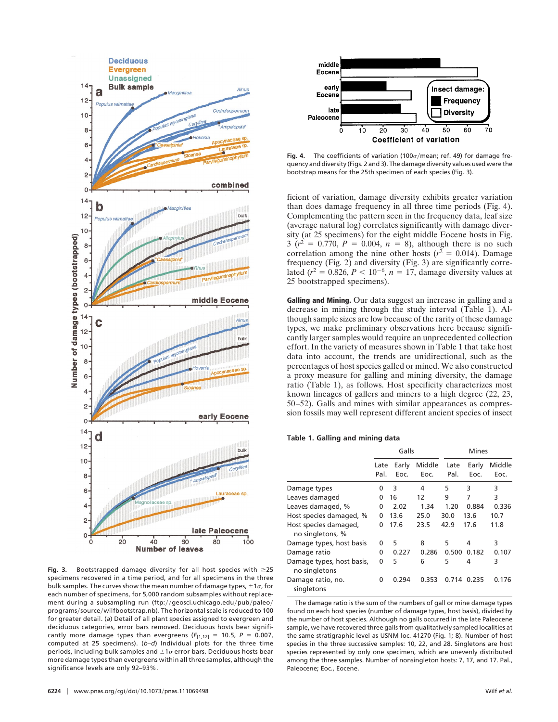

**Fig. 3.** Bootstrapped damage diversity for all host species with  $\geq 25$ specimens recovered in a time period, and for all specimens in the three bulk samples. The curves show the mean number of damage types,  $\pm 1\sigma$ , for each number of specimens, for 5,000 random subsamples without replacement during a subsampling run (ftp://geosci.uchicago.edu/pub/paleo/ programsysourceywilfbootstrap.nb). The horizontal scale is reduced to 100 for greater detail. (*a*) Detail of all plant species assigned to evergreen and deciduous categories, error bars removed. Deciduous hosts bear significantly more damage types than evergreens  $(F_{[1,12]} = 10.5, P = 0.007,$ computed at 25 specimens). (*b*–*d*) Individual plots for the three time periods, including bulk samples and  $\pm 1\sigma$  error bars. Deciduous hosts bear more damage types than evergreens within all three samples, although the significance levels are only 92–93%.



Fig. 4. The coefficients of variation (100 $\sigma$ /mean; ref. 49) for damage frequency and diversity (Figs. 2 and 3). The damage diversity values used were the bootstrap means for the 25th specimen of each species (Fig. 3).

ficient of variation, damage diversity exhibits greater variation than does damage frequency in all three time periods (Fig. 4). Complementing the pattern seen in the frequency data, leaf size (average natural log) correlates significantly with damage diversity (at 25 specimens) for the eight middle Eocene hosts in Fig. 3 ( $r^2 = 0.770$ ,  $P = 0.004$ ,  $n = 8$ ), although there is no such correlation among the nine other hosts ( $r^2 = 0.014$ ). Damage frequency (Fig. 2) and diversity (Fig. 3) are significantly correlated ( $r^2 = 0.826$ ,  $P < 10^{-6}$ ,  $n = 17$ , damage diversity values at 25 bootstrapped specimens).

**Galling and Mining.** Our data suggest an increase in galling and a decrease in mining through the study interval (Table 1). Although sample sizes are low because of the rarity of these damage types, we make preliminary observations here because significantly larger samples would require an unprecedented collection effort. In the variety of measures shown in Table 1 that take host data into account, the trends are unidirectional, such as the percentages of host species galled or mined. We also constructed a proxy measure for galling and mining diversity, the damage ratio (Table 1), as follows. Host specificity characterizes most known lineages of gallers and miners to a high degree (22, 23, 50–52). Galls and mines with similar appearances as compression fossils may well represent different ancient species of insect

### **Table 1. Galling and mining data**

|                                            | Galls        |               |                | <b>Mines</b> |               |                |
|--------------------------------------------|--------------|---------------|----------------|--------------|---------------|----------------|
|                                            | Late<br>Pal. | Early<br>Eoc. | Middle<br>Eoc. | Late<br>Pal. | Early<br>Eoc. | Middle<br>Eoc. |
| Damage types                               | 0            | 3             | 4              | 5            | 3             | 3              |
| Leaves damaged                             | 0            | 16            | 12             | 9            | 7             | 3              |
| Leaves damaged, %                          | 0            | 2.02          | 1.34           | 1.20         | 0.884         | 0.336          |
| Host species damaged, %                    | 0            | 13.6          | 25.0           | 30.0         | 13.6          | 10.7           |
| Host species damaged,<br>no singletons, %  | 0            | 17.6          | 23.5           | 42.9         | 17.6          | 11.8           |
| Damage types, host basis                   | 0            | 5             | 8              | 5            | 4             | 3              |
| Damage ratio                               | 0            | 0.227         | 0.286          | 0.500        | 0.182         | 0.107          |
| Damage types, host basis,<br>no singletons | 0            | 5             | 6              | 5            | 4             | 3              |
| Damage ratio, no.<br>singletons            | 0            | 0.294         | 0.353          | 0.714        | 0.235         | 0.176          |

The damage ratio is the sum of the numbers of gall or mine damage types found on each host species (number of damage types, host basis), divided by the number of host species. Although no galls occurred in the late Paleocene sample, we have recovered three galls from qualitatively sampled localities at the same stratigraphic level as USNM loc. 41270 (Fig. 1; 8). Number of host species in the three successive samples: 10, 22, and 28. Singletons are host species represented by only one specimen, which are unevenly distributed among the three samples. Number of nonsingleton hosts: 7, 17, and 17. Pal., Paleocene; Eoc., Eocene.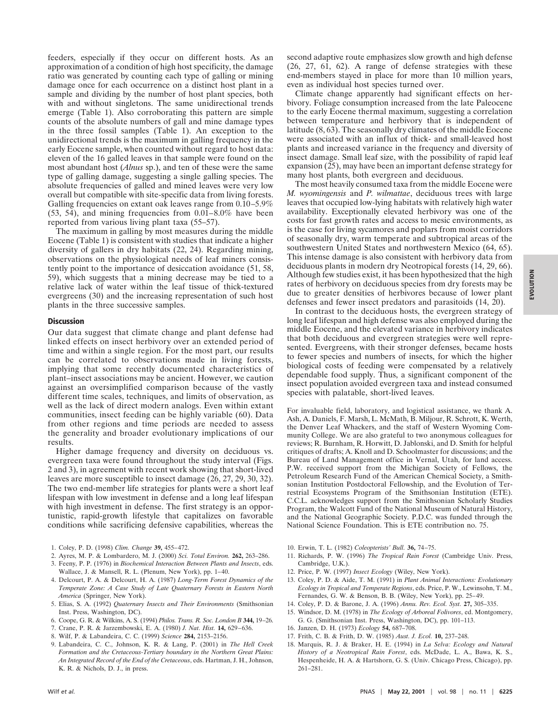feeders, especially if they occur on different hosts. As an approximation of a condition of high host specificity, the damage ratio was generated by counting each type of galling or mining damage once for each occurrence on a distinct host plant in a sample and dividing by the number of host plant species, both with and without singletons. The same unidirectional trends emerge (Table 1). Also corroborating this pattern are simple counts of the absolute numbers of gall and mine damage types in the three fossil samples (Table 1). An exception to the unidirectional trends is the maximum in galling frequency in the early Eocene sample, when counted without regard to host data: eleven of the 16 galled leaves in that sample were found on the most abundant host (*Alnus* sp.), and ten of these were the same type of galling damage, suggesting a single galling species. The absolute frequencies of galled and mined leaves were very low overall but compatible with site-specific data from living forests. Galling frequencies on extant oak leaves range from 0.10–5.9% (53, 54), and mining frequencies from 0.01–8.0% have been reported from various living plant taxa (55–57).

The maximum in galling by most measures during the middle Eocene (Table 1) is consistent with studies that indicate a higher diversity of gallers in dry habitats (22, 24). Regarding mining, observations on the physiological needs of leaf miners consistently point to the importance of desiccation avoidance (51, 58, 59), which suggests that a mining decrease may be tied to a relative lack of water within the leaf tissue of thick-textured evergreens (30) and the increasing representation of such host plants in the three successive samples.

#### **Discussion**

Our data suggest that climate change and plant defense had linked effects on insect herbivory over an extended period of time and within a single region. For the most part, our results can be correlated to observations made in living forests, implying that some recently documented characteristics of plant–insect associations may be ancient. However, we caution against an oversimplified comparison because of the vastly different time scales, techniques, and limits of observation, as well as the lack of direct modern analogs. Even within extant communities, insect feeding can be highly variable (60). Data from other regions and time periods are needed to assess the generality and broader evolutionary implications of our results.

Higher damage frequency and diversity on deciduous vs. evergreen taxa were found throughout the study interval (Figs. 2 and 3), in agreement with recent work showing that short-lived leaves are more susceptible to insect damage (26, 27, 29, 30, 32). The two end-member life strategies for plants were a short leaf lifespan with low investment in defense and a long leaf lifespan with high investment in defense. The first strategy is an opportunistic, rapid-growth lifestyle that capitalizes on favorable conditions while sacrificing defensive capabilities, whereas the

- 1. Coley, P. D. (1998) *Clim. Change* **39,** 455–472.
- 2. Ayres, M. P. & Lombardero, M. J. (2000) *Sci. Total Environ.* **262,** 263–286.
- 3. Feeny, P. P. (1976) in *Biochemical Interaction Between Plants and Insects*, eds. Wallace, J. & Mansell, R. L. (Plenum, New York), pp. 1–40.
- 4. Delcourt, P. A. & Delcourt, H. A. (1987) *Long-Term Forest Dynamics of the Temperate Zone: A Case Study of Late Quaternary Forests in Eastern North America* (Springer, New York).
- 5. Elias, S. A. (1992) *Quaternary Insects and Their Environments* (Smithsonian Inst. Press, Washington, DC).
- 6. Coope, G. R. & Wilkins, A. S. (1994) *Philos. Trans. R. Soc. London B* **344,** 19–26.
- 7. Crane, P. R. & Jarzembowski, E. A. (1980) *J. Nat. Hist.* **14,** 629–636.
- 8. Wilf, P. & Labandeira, C. C. (1999) *Science* **284,** 2153–2156.
- 9. Labandeira, C. C., Johnson, K. R. & Lang, P. (2001) in *The Hell Creek Formation and the Cretaceous-Tertiary boundary in the Northern Great Plains: An Integrated Record of the End of the Cretaceous*, eds. Hartman, J. H., Johnson, K. R. & Nichols, D. J., in press.

second adaptive route emphasizes slow growth and high defense (26, 27, 61, 62). A range of defense strategies with these end-members stayed in place for more than 10 million years, even as individual host species turned over.

Climate change apparently had significant effects on herbivory. Foliage consumption increased from the late Paleocene to the early Eocene thermal maximum, suggesting a correlation between temperature and herbivory that is independent of latitude (8, 63). The seasonally dry climates of the middle Eocene were associated with an influx of thick- and small-leaved host plants and increased variance in the frequency and diversity of insect damage. Small leaf size, with the possibility of rapid leaf expansion (25), may have been an important defense strategy for many host plants, both evergreen and deciduous.

The most heavily consumed taxa from the middle Eocene were *M. wyomingensis* and *P. wilmattae*, deciduous trees with large leaves that occupied low-lying habitats with relatively high water availability. Exceptionally elevated herbivory was one of the costs for fast growth rates and access to mesic environments, as is the case for living sycamores and poplars from moist corridors of seasonally dry, warm temperate and subtropical areas of the southwestern United States and northwestern Mexico (64, 65). This intense damage is also consistent with herbivory data from deciduous plants in modern dry Neotropical forests (14, 29, 66). Although few studies exist, it has been hypothesized that the high rates of herbivory on deciduous species from dry forests may be due to greater densities of herbivores because of lower plant defenses and fewer insect predators and parasitoids (14, 20).

In contrast to the deciduous hosts, the evergreen strategy of long leaf lifespan and high defense was also employed during the middle Eocene, and the elevated variance in herbivory indicates that both deciduous and evergreen strategies were well represented. Evergreens, with their stronger defenses, became hosts to fewer species and numbers of insects, for which the higher biological costs of feeding were compensated by a relatively dependable food supply. Thus, a significant component of the insect population avoided evergreen taxa and instead consumed species with palatable, short-lived leaves.

For invaluable field, laboratory, and logistical assistance, we thank A. Ash, A. Daniels, F. Marsh, L. McMath, B. Miljour, R. Schrott, K. Werth, the Denver Leaf Whackers, and the staff of Western Wyoming Community College. We are also grateful to two anonymous colleagues for reviews; R. Burnham, R. Horwitt, D. Jablonski, and D. Smith for helpful critiques of drafts; A. Knoll and D. Schoolmaster for discussions; and the Bureau of Land Management office in Vernal, Utah, for land access. P.W. received support from the Michigan Society of Fellows, the Petroleum Research Fund of the American Chemical Society, a Smithsonian Institution Postdoctoral Fellowship, and the Evolution of Terrestrial Ecosystems Program of the Smithsonian Institution (ETE). C.C.L. acknowledges support from the Smithsonian Scholarly Studies Program, the Walcott Fund of the National Museum of Natural History, and the National Geographic Society. P.D.C. was funded through the National Science Foundation. This is ETE contribution no. 75.

- 10. Erwin, T. L. (1982) *Coleopterists' Bull.* **36,** 74–75.
- 11. Richards, P. W. (1996) *The Tropical Rain Forest* (Cambridge Univ. Press, Cambridge, U.K.).
- 12. Price, P. W. (1997) *Insect Ecology* (Wiley, New York).
- 13. Coley, P. D. & Aide, T. M. (1991) in *Plant Animal Interactions: Evolutionary Ecology in Tropical and Temperate Regions*, eds. Price, P. W., Lewinsohn, T. M., Fernandes, G. W. & Benson, B. B. (Wiley, New York), pp. 25–49.
- 14. Coley, P. D. & Barone, J. A. (1996) *Annu. Rev. Ecol. Syst.* **27,** 305–335.
- 15. Windsor, D. M. (1978) in *The Ecology of Arboreal Folivores*, ed. Montgomery, G. G. (Smithsonian Inst. Press, Washington, DC), pp. 101–113.
- 16. Janzen, D. H. (1973) *Ecology* **54,** 687–708.
- 17. Frith, C. B. & Frith, D. W. (1985) *Aust. J. Ecol.* **10,** 237–248.
- 18. Marquis, R. J. & Braker, H. E. (1994) in *La Selva: Ecology and Natural History of a Neotropical Rain Forest*, eds. McDade, L. A., Bawa, K. S., Hespenheide, H. A. & Hartshorn, G. S. (Univ. Chicago Press, Chicago), pp. 261–281.